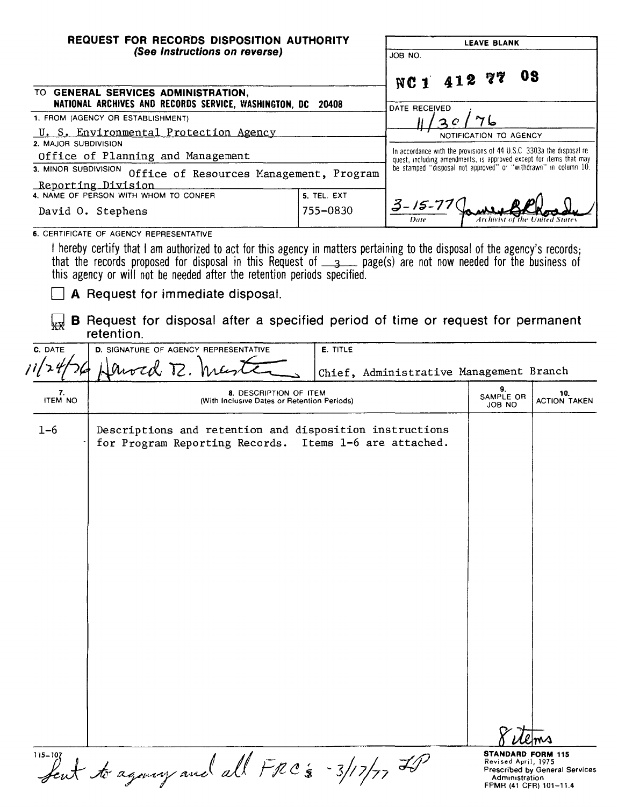| REQUEST FOR RECORDS DISPOSITION AUTHORITY<br>(See Instructions on reverse) |                                                                                                                                                |             |                                                                                                                                             | <b>LEAVE BLANK</b>        |                            |
|----------------------------------------------------------------------------|------------------------------------------------------------------------------------------------------------------------------------------------|-------------|---------------------------------------------------------------------------------------------------------------------------------------------|---------------------------|----------------------------|
|                                                                            |                                                                                                                                                |             | JOB NO.                                                                                                                                     |                           |                            |
|                                                                            |                                                                                                                                                |             | NC1 412 77                                                                                                                                  | 08                        |                            |
|                                                                            | TO GENERAL SERVICES ADMINISTRATION,<br>NATIONAL ARCHIVES AND RECORDS SERVICE, WASHINGTON, DC                                                   | 20408       | <b>DATE RECEIVED</b>                                                                                                                        |                           |                            |
|                                                                            | 1. FROM (AGENCY OR ESTABLISHMENT)                                                                                                              |             |                                                                                                                                             |                           |                            |
| 2. MAJOR SUBDIVISION                                                       | U. S. Environmental Protection Agency                                                                                                          |             |                                                                                                                                             | NOTIFICATION TO AGENCY    |                            |
|                                                                            | Office of Planning and Management                                                                                                              |             | In accordance with the provisions of 44 U.S.C. 3303a the disposal re-<br>quest, including amendments, is approved except for items that may |                           |                            |
| 3. MINOR SUBDIVISION                                                       | Office of Resources Management, Program                                                                                                        |             | be stamped "disposal not approved" or "withdrawn" in column 10.                                                                             |                           |                            |
|                                                                            | Reporting Division                                                                                                                             |             |                                                                                                                                             |                           |                            |
|                                                                            | 4. NAME OF PERSON WITH WHOM TO CONFER                                                                                                          | 5. TEL. EXT | 3-15-71                                                                                                                                     |                           |                            |
|                                                                            | David O. Stephens                                                                                                                              | 755-0830    | Date                                                                                                                                        |                           |                            |
|                                                                            | 6. CERTIFICATE OF AGENCY REPRESENTATIVE                                                                                                        |             |                                                                                                                                             |                           |                            |
| لبديوا<br>C. DATE                                                          | <b>B</b> Request for disposal after a specified period of time or request for permanent<br>retention.<br>D. SIGNATURE OF AGENCY REPRESENTATIVE |             |                                                                                                                                             |                           |                            |
|                                                                            |                                                                                                                                                | E. TITLE    |                                                                                                                                             |                           |                            |
|                                                                            | word R. W                                                                                                                                      |             | Chief, Administrative Management Branch                                                                                                     |                           |                            |
| 7.<br><b>ITEM NO</b>                                                       | 8. DESCRIPTION OF ITEM<br>(With Inclusive Dates or Retention Periods)                                                                          |             |                                                                                                                                             | 9.<br>SAMPLE OR<br>JOB NO | 10.<br><b>ACTION TAKEN</b> |

dems δ.

**STANDARD FORM 115**<br>Revised April, 1975<br>Prescribed by General Services<br>Administration<br>FPMR (41 CFR) 101-11.4

115-107 feut to agoncy and all FRC's -3/17/77 FP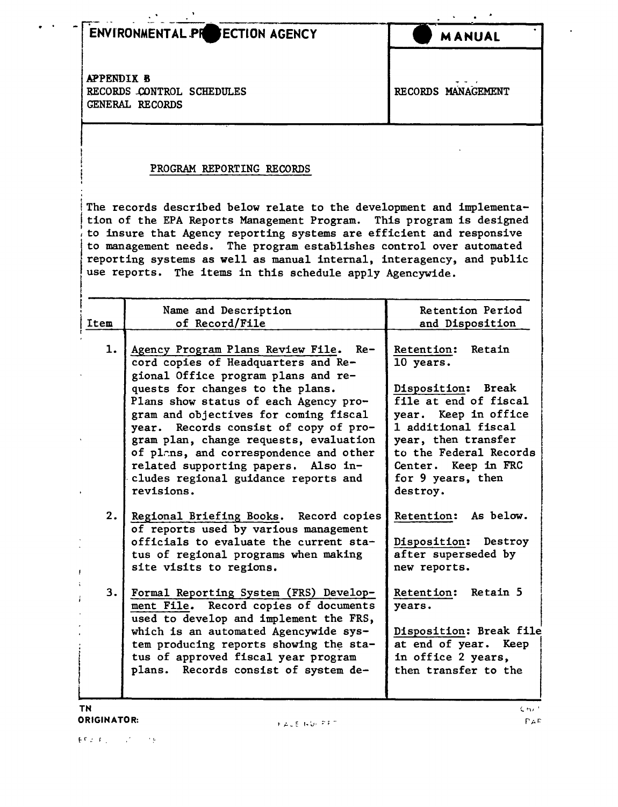## ENVIRONMENTAL PR ECTION AGENCY

**MANUAL**

APPENDIX B RECORDS CONTROL SCHEDULES GENERAL RECORDS

.. .

. t

| RECORDS MANAGEMENT |
|--------------------|

## PROGRAM REPORTING RECORDS

The records described below relate to the development and implementation of the EPA Reports Management Program. This program is designed to insure that Agency reporting systems are efficient and responsive to management needs. The program establishes control over automated reporting systems as well as manual internal, interagency, and public use reports. The items in this schedule apply Agencywide.

|      | Name and Description                                                                                                                                                                                                                                                                                                                                                                                                                                                | Retention Period                                                                                                                                                                                                                      |
|------|---------------------------------------------------------------------------------------------------------------------------------------------------------------------------------------------------------------------------------------------------------------------------------------------------------------------------------------------------------------------------------------------------------------------------------------------------------------------|---------------------------------------------------------------------------------------------------------------------------------------------------------------------------------------------------------------------------------------|
| Item | of Record/File                                                                                                                                                                                                                                                                                                                                                                                                                                                      | and Disposition                                                                                                                                                                                                                       |
| 1.   | Agency Program Plans Review File. Re-<br>cord copies of Headquarters and Re-<br>gional Office program plans and re-<br>quests for changes to the plans.<br>Plans show status of each Agency pro-<br>gram and objectives for coming fiscal<br>year. Records consist of copy of pro-<br>gram plan, change requests, evaluation<br>of plans, and correspondence and other<br>related supporting papers. Also in-<br>cludes regional guidance reports and<br>revisions. | Retention: Retain<br>10 years.<br>Disposition: Break<br>file at end of fiscal<br>year. Keep in office<br>1 additional fiscal<br>year, then transfer<br>to the Federal Records<br>Center. Keep in FRC<br>for 9 years, then<br>destroy. |
| 2.   | Regional Briefing Books. Record copies<br>of reports used by various management<br>officials to evaluate the current sta-<br>tus of regional programs when making<br>site visits to regions.                                                                                                                                                                                                                                                                        | Retention: As below.<br>Disposition: Destroy<br>after superseded by<br>new reports.                                                                                                                                                   |
| 3.   | Formal Reporting System (FRS) Develop-<br>ment File. Record copies of documents<br>used to develop and implement the FRS,<br>which is an automated Agencywide sys-<br>tem producing reports showing the sta-<br>tus of approved fiscal year program<br>plans. Records consist of system de-                                                                                                                                                                         | Retention: Retain 5<br>years.<br>Disposition: Break file<br>at end of year. Keep<br>in office 2 years,<br>then transfer to the                                                                                                        |

**TN** ORIGINATOR: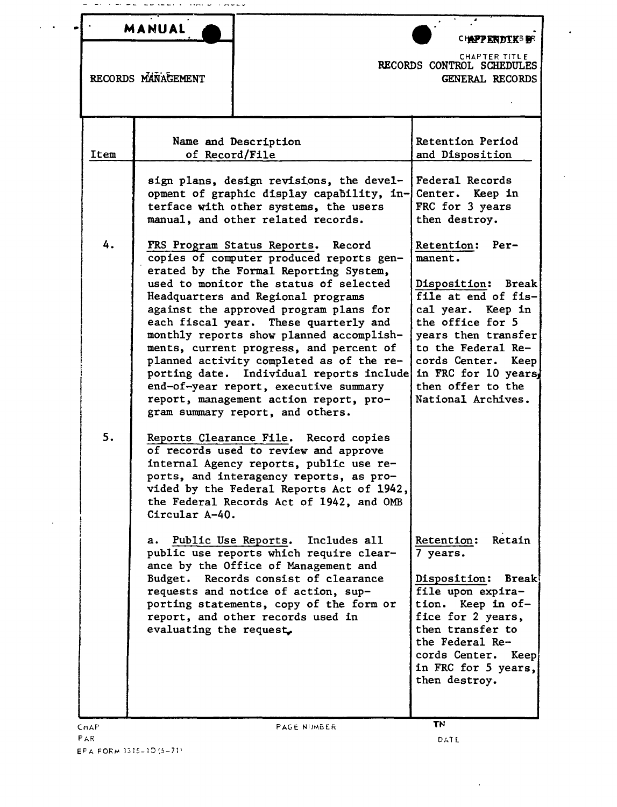|      | <b>MANUAL</b>                                   |                                                                                                                                                                                                                                                                                                                                                                                                                                                                                                                                                                                                                                                                                                                                                                              | CH <b>APPERDEKS B</b> R                                                                                                                                                                                                                                                                                                                  |
|------|-------------------------------------------------|------------------------------------------------------------------------------------------------------------------------------------------------------------------------------------------------------------------------------------------------------------------------------------------------------------------------------------------------------------------------------------------------------------------------------------------------------------------------------------------------------------------------------------------------------------------------------------------------------------------------------------------------------------------------------------------------------------------------------------------------------------------------------|------------------------------------------------------------------------------------------------------------------------------------------------------------------------------------------------------------------------------------------------------------------------------------------------------------------------------------------|
|      | RECORDS MANAGEMENT                              |                                                                                                                                                                                                                                                                                                                                                                                                                                                                                                                                                                                                                                                                                                                                                                              | <b>CHAPTER TITLE</b><br>RECORDS CONTROL SCHEDULES<br>GENERAL RECORDS                                                                                                                                                                                                                                                                     |
| Item | of Record/File                                  | Name and Description                                                                                                                                                                                                                                                                                                                                                                                                                                                                                                                                                                                                                                                                                                                                                         | Retention Period<br>and Disposition                                                                                                                                                                                                                                                                                                      |
| 4.   |                                                 | sign plans, design revisions, the devel-<br>opment of graphic display capability, in-<br>terface with other systems, the users<br>manual, and other related records.<br>FRS Program Status Reports.<br>Record<br>copies of computer produced reports gen-<br>erated by the Formal Reporting System,<br>used to monitor the status of selected<br>Headquarters and Regional programs<br>against the approved program plans for<br>each fiscal year. These quarterly and<br>monthly reports show planned accomplish-<br>ments, current progress, and percent of<br>planned activity completed as of the re-<br>porting date. Individual reports include<br>end-of-year report, executive summary<br>report, management action report, pro-<br>gram summary report, and others. | Federal Records<br>Center. Keep in<br>FRC for 3 years<br>then destroy.<br>Retention:<br>$Per-$<br>manent.<br>Disposition: Break<br>file at end of fis-<br>cal year. Keep in<br>the office for 5<br>years then transfer<br>to the Federal Re-<br>cords Center.<br>Keep<br>in FRC for 10 years.<br>then offer to the<br>National Archives. |
| 5.   | Circular A-40.<br>а.<br>evaluating the request. | Reports Clearance File. Record copies<br>of records used to review and approve<br>internal Agency reports, public use re-<br>ports, and interagency reports, as pro-<br>vided by the Federal Reports Act of 1942,<br>the Federal Records Act of 1942, and OMB<br>Public Use Reports.<br>Includes all<br>public use reports which require clear-<br>ance by the Office of Management and<br>Budget. Records consist of clearance<br>requests and notice of action, sup-<br>porting statements, copy of the form or<br>report, and other records used in                                                                                                                                                                                                                       | Retention:<br>Retain<br>7 years.<br><b>Break!</b><br>Disposition:<br>file upon expira-<br>tion. Keep in of-<br>fice for 2 years,<br>then transfer to<br>the Federal Re-<br>cords Center. Keep<br>in FRC for 5 years,<br>then destroy.                                                                                                    |

 $\alpha = 0.01$ 

 $\overline{\phantom{a}}$ 

 $\Delta$